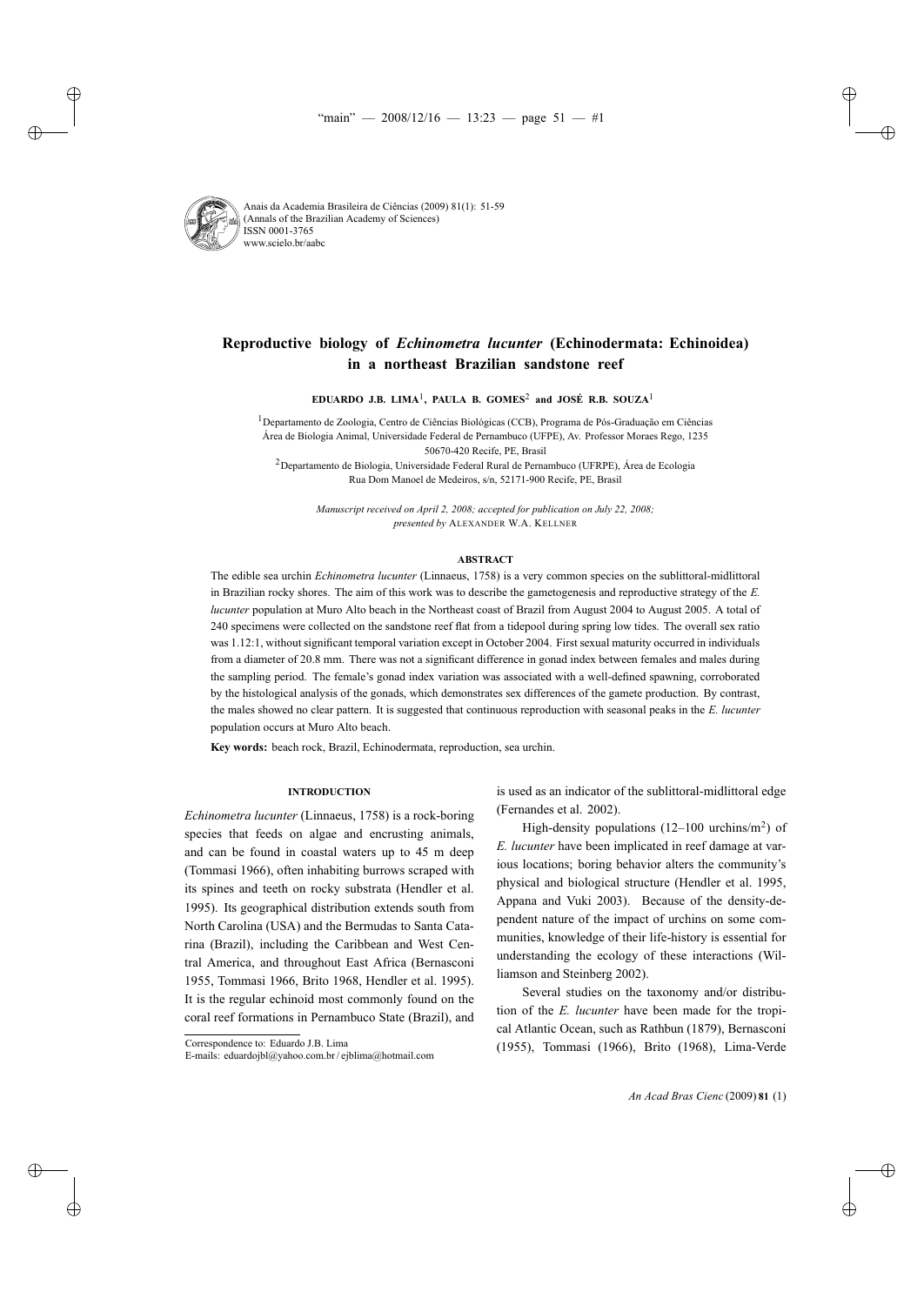

# **Reproductive biology of** *Echinometra lucunter* **(Echinodermata: Echinoidea) in a northeast Brazilian sandstone reef**

**EDUARDO J.B. LIMA**1**, PAULA B. GOMES**<sup>2</sup> **and JOSÉ R.B. SOUZA**<sup>1</sup>

1Departamento de Zoologia, Centro de Ciências Biológicas (CCB), Programa de Pós-Graduação em Ciências Área de Biologia Animal, Universidade Federal de Pernambuco (UFPE), Av. Professor Moraes Rego, 1235 50670-420 Recife, PE, Brasil

 $2$ Departamento de Biologia, Universidade Federal Rural de Pernambuco (UFRPE), Área de Ecologia Rua Dom Manoel de Medeiros, s/n, 52171-900 Recife, PE, Brasil

*Manuscript received on April 2, 2008; accepted for publication on July 22, 2008; presented by* ALEXANDER W.A. KELLNER

#### **ABSTRACT**

The edible sea urchin *Echinometra lucunter* (Linnaeus, 1758) is a very common species on the sublittoral-midlittoral in Brazilian rocky shores. The aim of this work was to describe the gametogenesis and reproductive strategy of the *E. lucunter* population at Muro Alto beach in the Northeast coast of Brazil from August 2004 to August 2005. A total of 240 specimens were collected on the sandstone reef flat from a tidepool during spring low tides. The overall sex ratio was 1.12:1, without significant temporal variation except in October 2004. First sexual maturity occurred in individuals from a diameter of 20.8 mm. There was not a significant difference in gonad index between females and males during the sampling period. The female's gonad index variation was associated with a well-defined spawning, corroborated by the histological analysis of the gonads, which demonstrates sex differences of the gamete production. By contrast, the males showed no clear pattern. It is suggested that continuous reproduction with seasonal peaks in the *E. lucunter* population occurs at Muro Alto beach.

**Key words:** beach rock, Brazil, Echinodermata, reproduction, sea urchin.

# **INTRODUCTION**

*Echinometra lucunter* (Linnaeus, 1758) is a rock-boring species that feeds on algae and encrusting animals, and can be found in coastal waters up to 45 m deep (Tommasi 1966), often inhabiting burrows scraped with its spines and teeth on rocky substrata (Hendler et al. 1995). Its geographical distribution extends south from North Carolina (USA) and the Bermudas to Santa Catarina (Brazil), including the Caribbean and West Central America, and throughout East Africa (Bernasconi 1955, Tommasi 1966, Brito 1968, Hendler et al. 1995). It is the regular echinoid most commonly found on the coral reef formations in Pernambuco State (Brazil), and is used as an indicator of the sublittoral-midlittoral edge (Fernandes et al. 2002).

High-density populations  $(12-100 \text{ urehins/m}^2)$  of *E. lucunter* have been implicated in reef damage at various locations; boring behavior alters the community's physical and biological structure (Hendler et al. 1995, Appana and Vuki 2003). Because of the density-dependent nature of the impact of urchins on some communities, knowledge of their life-history is essential for understanding the ecology of these interactions (Williamson and Steinberg 2002).

Several studies on the taxonomy and/or distribution of the *E. lucunter* have been made for the tropical Atlantic Ocean, such as Rathbun (1879), Bernasconi (1955), Tommasi (1966), Brito (1968), Lima-Verde

Correspondence to: Eduardo J.B. Lima

E-mails: eduardojbl@yahoo.com.br / ejblima@hotmail.com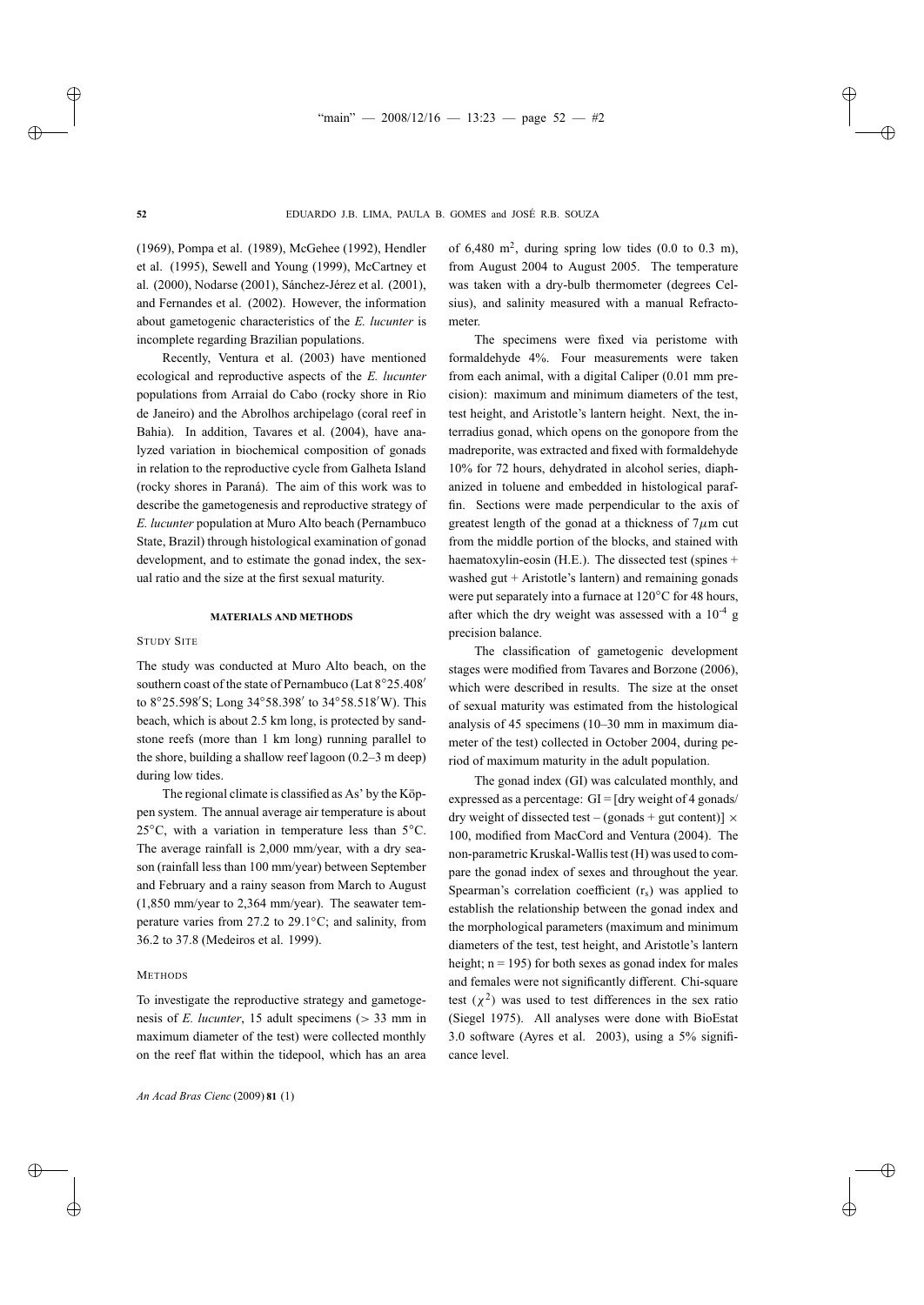(1969), Pompa et al. (1989), McGehee (1992), Hendler et al. (1995), Sewell and Young (1999), McCartney et al. (2000), Nodarse (2001), Sánchez-Jérez et al. (2001), and Fernandes et al. (2002). However, the information about gametogenic characteristics of the *E. lucunter* is incomplete regarding Brazilian populations.

Recently, Ventura et al. (2003) have mentioned ecological and reproductive aspects of the *E. lucunter* populations from Arraial do Cabo (rocky shore in Rio de Janeiro) and the Abrolhos archipelago (coral reef in Bahia). In addition, Tavares et al. (2004), have analyzed variation in biochemical composition of gonads in relation to the reproductive cycle from Galheta Island (rocky shores in Paraná). The aim of this work was to describe the gametogenesis and reproductive strategy of *E. lucunter* population at Muro Alto beach (Pernambuco State, Brazil) through histological examination of gonad development, and to estimate the gonad index, the sexual ratio and the size at the first sexual maturity.

#### **MATERIALS AND METHODS**

### STUDY SITE

The study was conducted at Muro Alto beach, on the southern coast of the state of Pernambuco (Lat 8°25.408' to 8°25.598′S; Long 34°58.398′ to 34°58.518′W). This beach, which is about 2.5 km long, is protected by sandstone reefs (more than 1 km long) running parallel to the shore, building a shallow reef lagoon (0.2–3 m deep) during low tides.

The regional climate is classified as As' by the Köppen system. The annual average air temperature is about 25 $°C$ , with a variation in temperature less than 5 $°C$ . The average rainfall is 2,000 mm/year, with a dry season (rainfall less than 100 mm/year) between September and February and a rainy season from March to August (1,850 mm/year to 2,364 mm/year). The seawater temperature varies from 27.2 to 29.1◦C; and salinity, from 36.2 to 37.8 (Medeiros et al. 1999).

# **METHODS**

To investigate the reproductive strategy and gametogenesis of *E. lucunter*, 15 adult specimens (> 33 mm in maximum diameter of the test) were collected monthly on the reef flat within the tidepool, which has an area of 6,480 m<sup>2</sup>, during spring low tides  $(0.0 \text{ to } 0.3 \text{ m})$ , from August 2004 to August 2005. The temperature was taken with a dry-bulb thermometer (degrees Celsius), and salinity measured with a manual Refractometer.

The specimens were fixed via peristome with formaldehyde 4%. Four measurements were taken from each animal, with a digital Caliper (0.01 mm precision): maximum and minimum diameters of the test, test height, and Aristotle's lantern height. Next, the interradius gonad, which opens on the gonopore from the madreporite, was extracted and fixed with formaldehyde 10% for 72 hours, dehydrated in alcohol series, diaphanized in toluene and embedded in histological paraffin. Sections were made perpendicular to the axis of greatest length of the gonad at a thickness of  $7\mu$ m cut from the middle portion of the blocks, and stained with haematoxylin-eosin (H.E.). The dissected test (spines + washed gut  $+$  Aristotle's lantern) and remaining gonads were put separately into a furnace at 120◦C for 48 hours, after which the dry weight was assessed with a  $10^{-4}$  g precision balance.

The classification of gametogenic development stages were modified from Tavares and Borzone (2006), which were described in results. The size at the onset of sexual maturity was estimated from the histological analysis of 45 specimens (10–30 mm in maximum diameter of the test) collected in October 2004, during period of maximum maturity in the adult population.

The gonad index (GI) was calculated monthly, and expressed as a percentage:  $GI = [dry weight of 4 gonads]$ dry weight of dissected test – (gonads + gut content)]  $\times$ 100, modified from MacCord and Ventura (2004). The non-parametric Kruskal-Wallis test (H) was used to compare the gonad index of sexes and throughout the year. Spearman's correlation coefficient  $(r<sub>s</sub>)$  was applied to establish the relationship between the gonad index and the morphological parameters (maximum and minimum diameters of the test, test height, and Aristotle's lantern height;  $n = 195$ ) for both sexes as gonad index for males and females were not significantly different. Chi-square test  $(\chi^2)$  was used to test differences in the sex ratio (Siegel 1975). All analyses were done with BioEstat 3.0 software (Ayres et al. 2003), using a 5% significance level.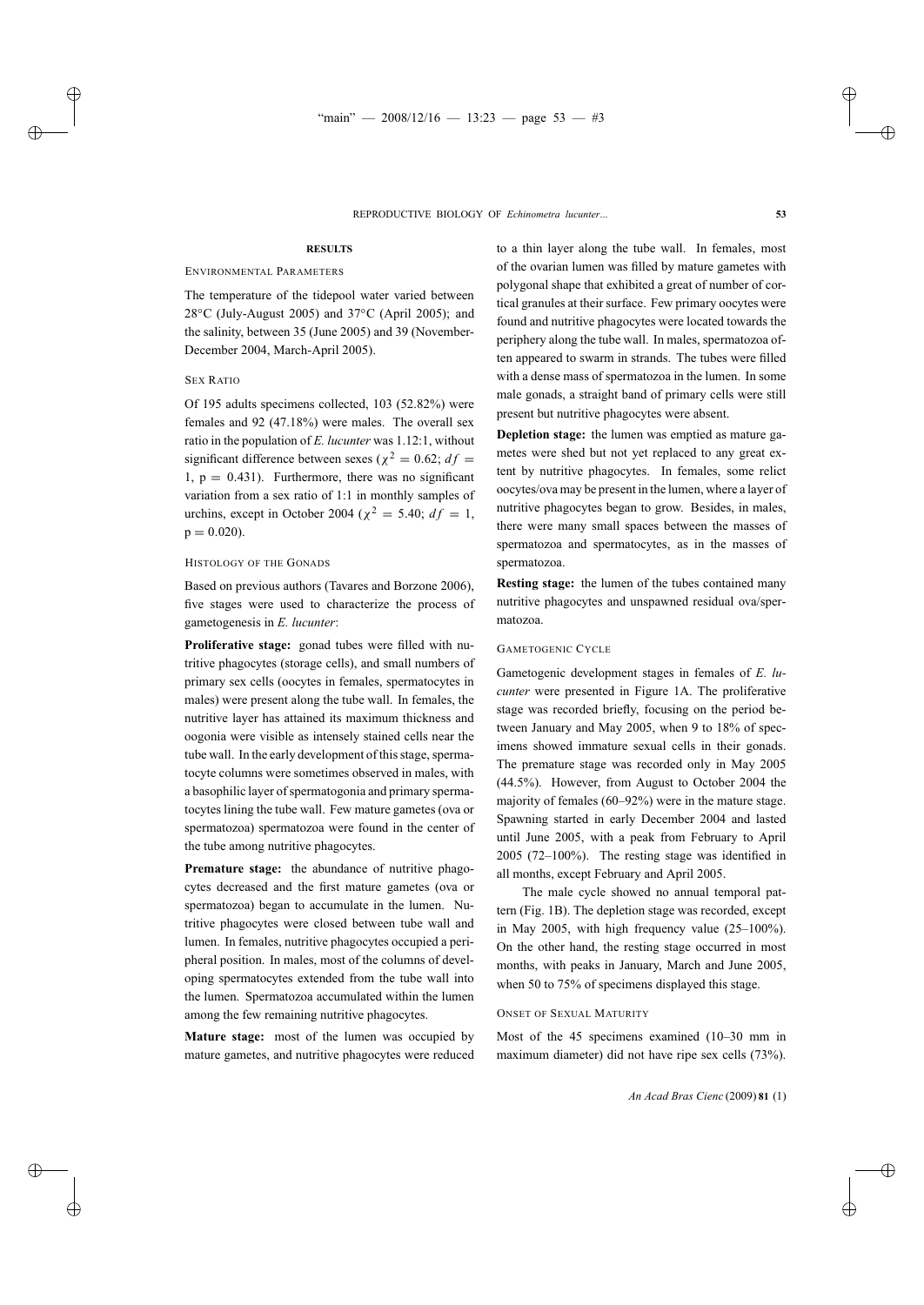# **RESULTS**

# ENVIRONMENTAL PARAMETERS

The temperature of the tidepool water varied between 28◦C (July-August 2005) and 37◦C (April 2005); and the salinity, between 35 (June 2005) and 39 (November-December 2004, March-April 2005).

## SEX RATIO

Of 195 adults specimens collected, 103 (52.82%) were females and 92 (47.18%) were males. The overall sex ratio in the population of *E. lucunter* was 1.12:1, without significant difference between sexes ( $\chi^2 = 0.62$ ;  $df =$ 1,  $p = 0.431$ . Furthermore, there was no significant variation from a sex ratio of 1:1 in monthly samples of urchins, except in October 2004 ( $\chi^2$  = 5.40;  $df = 1$ ,  $p = 0.020$ .

# HISTOLOGY OF THE GONADS

Based on previous authors (Tavares and Borzone 2006), five stages were used to characterize the process of gametogenesis in *E. lucunter*:

**Proliferative stage:** gonad tubes were filled with nutritive phagocytes (storage cells), and small numbers of primary sex cells (oocytes in females, spermatocytes in males) were present along the tube wall. In females, the nutritive layer has attained its maximum thickness and oogonia were visible as intensely stained cells near the tube wall. In the early development of this stage, spermatocyte columns were sometimes observed in males, with a basophilic layer of spermatogonia and primary spermatocytes lining the tube wall. Few mature gametes (ova or spermatozoa) spermatozoa were found in the center of the tube among nutritive phagocytes.

**Premature stage:** the abundance of nutritive phagocytes decreased and the first mature gametes (ova or spermatozoa) began to accumulate in the lumen. Nutritive phagocytes were closed between tube wall and lumen. In females, nutritive phagocytes occupied a peripheral position. In males, most of the columns of developing spermatocytes extended from the tube wall into the lumen. Spermatozoa accumulated within the lumen among the few remaining nutritive phagocytes.

**Mature stage:** most of the lumen was occupied by mature gametes, and nutritive phagocytes were reduced to a thin layer along the tube wall. In females, most of the ovarian lumen was filled by mature gametes with polygonal shape that exhibited a great of number of cortical granules at their surface. Few primary oocytes were found and nutritive phagocytes were located towards the periphery along the tube wall. In males, spermatozoa often appeared to swarm in strands. The tubes were filled with a dense mass of spermatozoa in the lumen. In some male gonads, a straight band of primary cells were still present but nutritive phagocytes were absent.

**Depletion stage:** the lumen was emptied as mature gametes were shed but not yet replaced to any great extent by nutritive phagocytes. In females, some relict oocytes/ova may be present in the lumen, where a layer of nutritive phagocytes began to grow. Besides, in males, there were many small spaces between the masses of spermatozoa and spermatocytes, as in the masses of spermatozoa.

**Resting stage:** the lumen of the tubes contained many nutritive phagocytes and unspawned residual ova/spermatozoa.

# GAMETOGENIC CYCLE

Gametogenic development stages in females of *E. lucunter* were presented in Figure 1A. The proliferative stage was recorded briefly, focusing on the period between January and May 2005, when 9 to 18% of specimens showed immature sexual cells in their gonads. The premature stage was recorded only in May 2005 (44.5%). However, from August to October 2004 the majority of females (60–92%) were in the mature stage. Spawning started in early December 2004 and lasted until June 2005, with a peak from February to April 2005 (72–100%). The resting stage was identified in all months, except February and April 2005.

The male cycle showed no annual temporal pattern (Fig. 1B). The depletion stage was recorded, except in May 2005, with high frequency value (25–100%). On the other hand, the resting stage occurred in most months, with peaks in January, March and June 2005, when 50 to 75% of specimens displayed this stage.

# ONSET OF SEXUAL MATURITY

Most of the 45 specimens examined (10–30 mm in maximum diameter) did not have ripe sex cells (73%).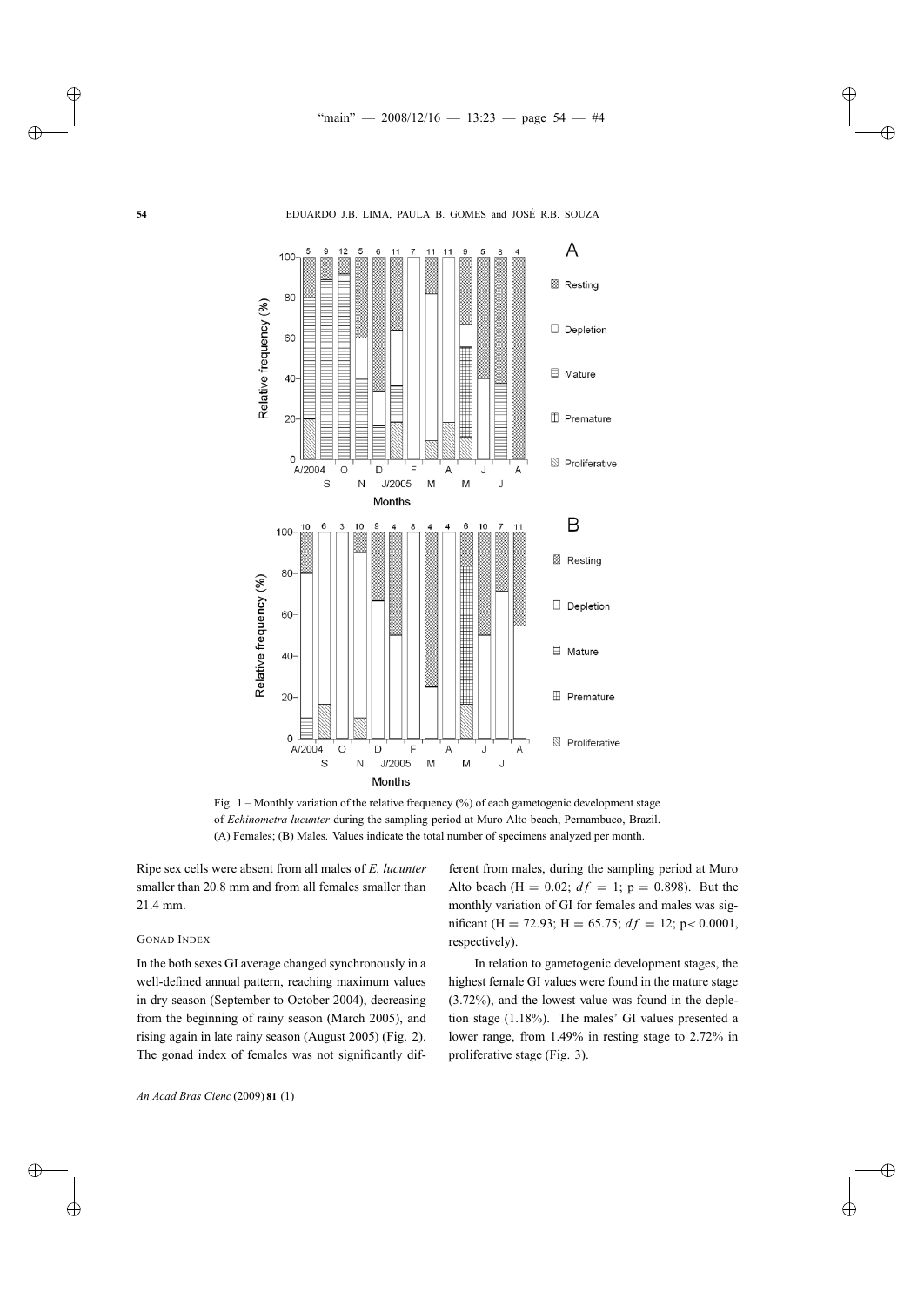

Fig. 1 – Monthly variation of the relative frequency (%) of each gametogenic development stage of *Echinometra lucunter* during the sampling period at Muro Alto beach, Pernambuco, Brazil. (A) Females; (B) Males. Values indicate the total number of specimens analyzed per month.

Ripe sex cells were absent from all males of *E. lucunter* smaller than 20.8 mm and from all females smaller than 21.4 mm.

# GONAD INDEX

In the both sexes GI average changed synchronously in a well-defined annual pattern, reaching maximum values in dry season (September to October 2004), decreasing from the beginning of rainy season (March 2005), and rising again in late rainy season (August 2005) (Fig. 2). The gonad index of females was not significantly dif-

ferent from males, during the sampling period at Muro Alto beach (H = 0.02;  $df = 1$ ; p = 0.898). But the monthly variation of GI for females and males was significant (H = 72.93; H = 65.75;  $df = 12$ ; p < 0.0001, respectively).

In relation to gametogenic development stages, the highest female GI values were found in the mature stage (3.72%), and the lowest value was found in the depletion stage (1.18%). The males' GI values presented a lower range, from 1.49% in resting stage to 2.72% in proliferative stage (Fig. 3).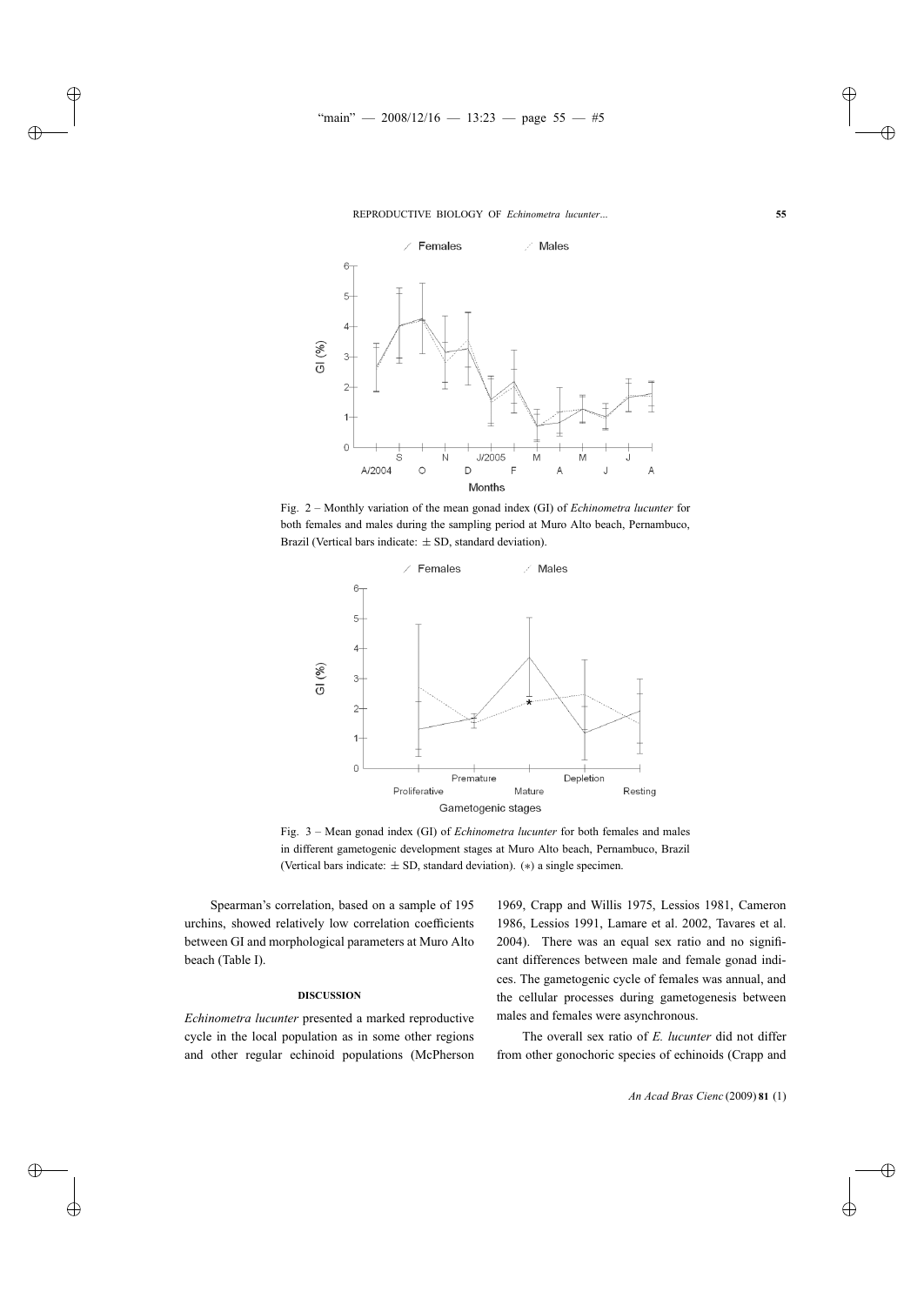

Fig. 2 – Monthly variation of the mean gonad index (GI) of *Echinometra lucunter* for both females and males during the sampling period at Muro Alto beach, Pernambuco, Brazil (Vertical bars indicate:  $\pm$  SD, standard deviation).



Fig. 3 – Mean gonad index (GI) of *Echinometra lucunter* for both females and males in different gametogenic development stages at Muro Alto beach, Pernambuco, Brazil (Vertical bars indicate:  $\pm$  SD, standard deviation). (\*) a single specimen.

Spearman's correlation, based on a sample of 195 urchins, showed relatively low correlation coefficients between GI and morphological parameters at Muro Alto beach (Table I).

## **DISCUSSION**

*Echinometra lucunter* presented a marked reproductive cycle in the local population as in some other regions and other regular echinoid populations (McPherson 1969, Crapp and Willis 1975, Lessios 1981, Cameron 1986, Lessios 1991, Lamare et al. 2002, Tavares et al. 2004). There was an equal sex ratio and no significant differences between male and female gonad indices. The gametogenic cycle of females was annual, and the cellular processes during gametogenesis between males and females were asynchronous.

The overall sex ratio of *E. lucunter* did not differ from other gonochoric species of echinoids (Crapp and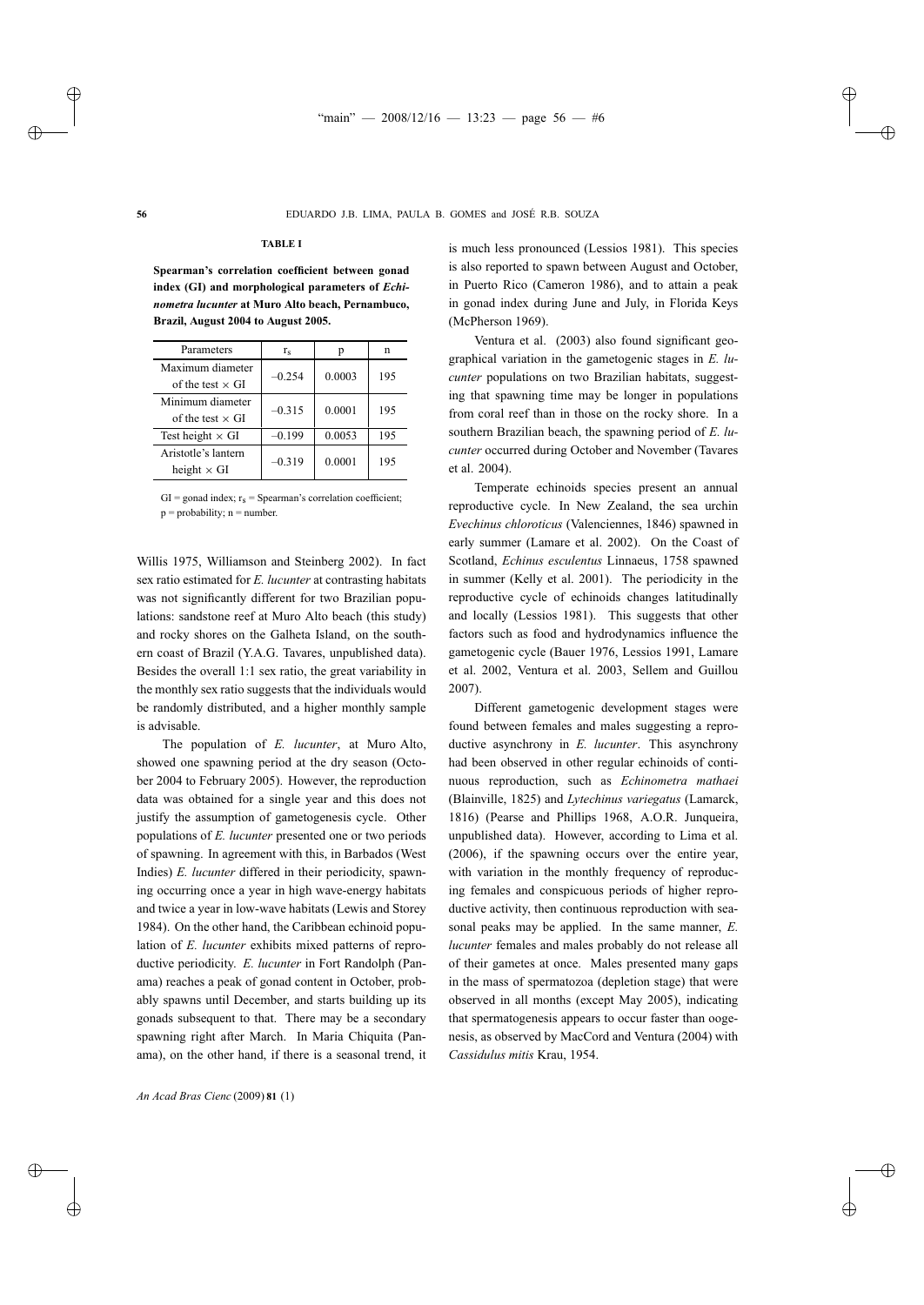#### **TABLE I**

**Spearman's correlation coefficient between gonad index (GI) and morphological parameters of** *Echinometra lucunter* **at Muro Alto beach, Pernambuco, Brazil, August 2004 to August 2005.**

| Parameters              | $r_{\rm s}$ | n      | n   |
|-------------------------|-------------|--------|-----|
| Maximum diameter        | $-0.254$    | 0.0003 | 195 |
| of the test $\times$ GI |             |        |     |
| Minimum diameter        |             |        |     |
| of the test $\times$ GI | $-0.315$    | 0.0001 | 195 |
| Test height $\times$ GI | $-0.199$    | 0.0053 | 195 |
| Aristotle's lantern     |             | 0.0001 | 195 |
| height $\times$ GI      | $-0.319$    |        |     |

GI = gonad index;  $r_s$  = Spearman's correlation coefficient;  $p = probability$ ; n = number.

Willis 1975, Williamson and Steinberg 2002). In fact sex ratio estimated for *E. lucunter* at contrasting habitats was not significantly different for two Brazilian populations: sandstone reef at Muro Alto beach (this study) and rocky shores on the Galheta Island, on the southern coast of Brazil (Y.A.G. Tavares, unpublished data). Besides the overall 1:1 sex ratio, the great variability in the monthly sex ratio suggests that the individuals would be randomly distributed, and a higher monthly sample is advisable.

The population of *E. lucunter*, at Muro Alto, showed one spawning period at the dry season (October 2004 to February 2005). However, the reproduction data was obtained for a single year and this does not justify the assumption of gametogenesis cycle. Other populations of *E. lucunter* presented one or two periods of spawning. In agreement with this, in Barbados (West Indies) *E. lucunter* differed in their periodicity, spawning occurring once a year in high wave-energy habitats and twice a year in low-wave habitats (Lewis and Storey 1984). On the other hand, the Caribbean echinoid population of *E. lucunter* exhibits mixed patterns of reproductive periodicity. *E. lucunter* in Fort Randolph (Panama) reaches a peak of gonad content in October, probably spawns until December, and starts building up its gonads subsequent to that. There may be a secondary spawning right after March. In Maria Chiquita (Panama), on the other hand, if there is a seasonal trend, it is much less pronounced (Lessios 1981). This species is also reported to spawn between August and October, in Puerto Rico (Cameron 1986), and to attain a peak in gonad index during June and July, in Florida Keys (McPherson 1969).

Ventura et al. (2003) also found significant geographical variation in the gametogenic stages in *E. lucunter* populations on two Brazilian habitats, suggesting that spawning time may be longer in populations from coral reef than in those on the rocky shore. In a southern Brazilian beach, the spawning period of *E. lucunter* occurred during October and November (Tavares et al. 2004).

Temperate echinoids species present an annual reproductive cycle. In New Zealand, the sea urchin *Evechinus chloroticus* (Valenciennes, 1846) spawned in early summer (Lamare et al. 2002). On the Coast of Scotland, *Echinus esculentus* Linnaeus, 1758 spawned in summer (Kelly et al. 2001). The periodicity in the reproductive cycle of echinoids changes latitudinally and locally (Lessios 1981). This suggests that other factors such as food and hydrodynamics influence the gametogenic cycle (Bauer 1976, Lessios 1991, Lamare et al. 2002, Ventura et al. 2003, Sellem and Guillou 2007).

Different gametogenic development stages were found between females and males suggesting a reproductive asynchrony in *E. lucunter*. This asynchrony had been observed in other regular echinoids of continuous reproduction, such as *Echinometra mathaei* (Blainville, 1825) and *Lytechinus variegatus* (Lamarck, 1816) (Pearse and Phillips 1968, A.O.R. Junqueira, unpublished data). However, according to Lima et al. (2006), if the spawning occurs over the entire year, with variation in the monthly frequency of reproducing females and conspicuous periods of higher reproductive activity, then continuous reproduction with seasonal peaks may be applied. In the same manner, *E. lucunter* females and males probably do not release all of their gametes at once. Males presented many gaps in the mass of spermatozoa (depletion stage) that were observed in all months (except May 2005), indicating that spermatogenesis appears to occur faster than oogenesis, as observed by MacCord and Ventura (2004) with *Cassidulus mitis* Krau, 1954.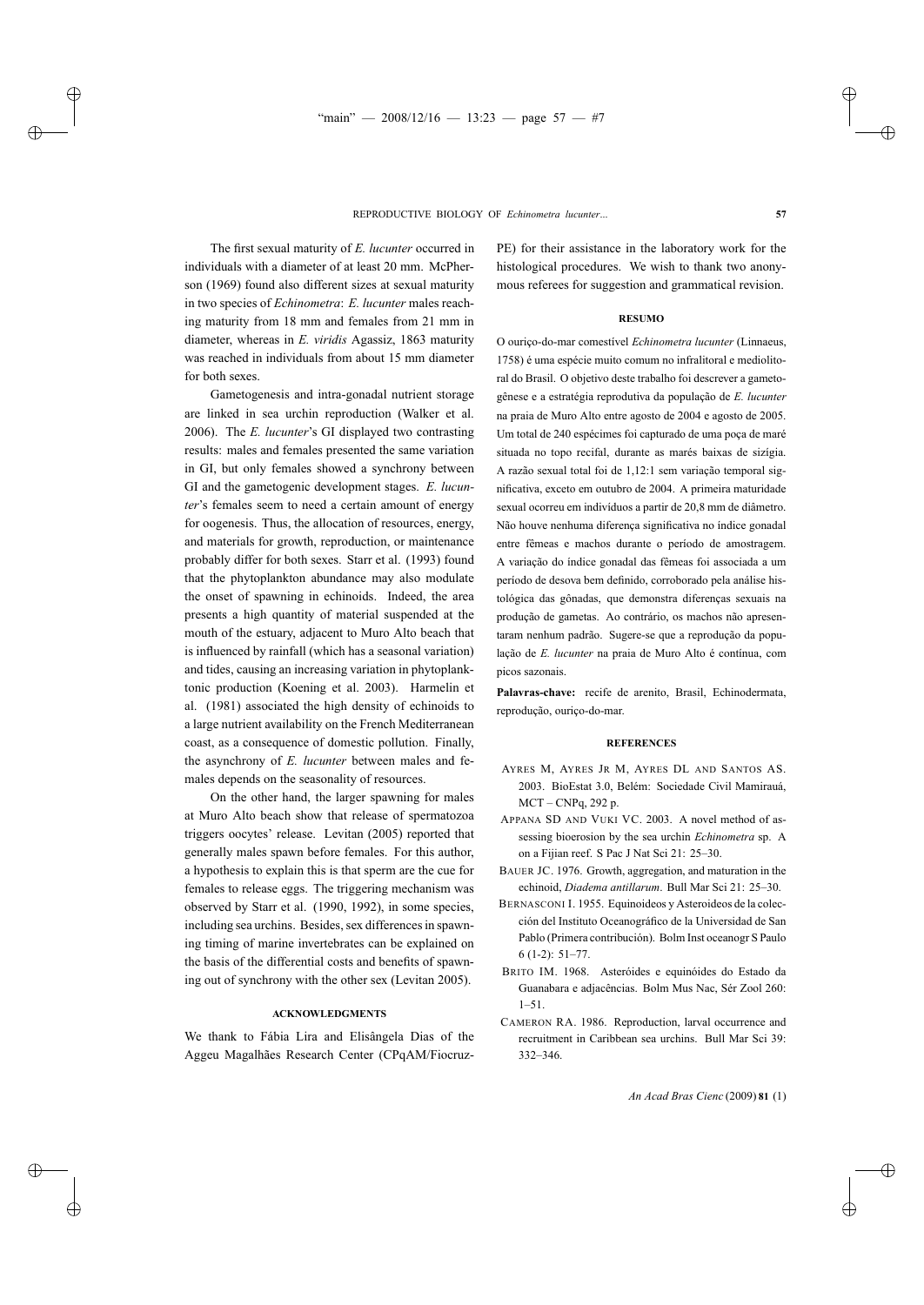The first sexual maturity of *E. lucunter* occurred in individuals with a diameter of at least 20 mm. McPherson (1969) found also different sizes at sexual maturity in two species of *Echinometra*: *E. lucunter* males reaching maturity from 18 mm and females from 21 mm in diameter, whereas in *E. viridis* Agassiz, 1863 maturity was reached in individuals from about 15 mm diameter for both sexes.

Gametogenesis and intra-gonadal nutrient storage are linked in sea urchin reproduction (Walker et al. 2006). The *E. lucunter*'s GI displayed two contrasting results: males and females presented the same variation in GI, but only females showed a synchrony between GI and the gametogenic development stages. *E. lucunter*'s females seem to need a certain amount of energy for oogenesis. Thus, the allocation of resources, energy, and materials for growth, reproduction, or maintenance probably differ for both sexes. Starr et al. (1993) found that the phytoplankton abundance may also modulate the onset of spawning in echinoids. Indeed, the area presents a high quantity of material suspended at the mouth of the estuary, adjacent to Muro Alto beach that is influenced by rainfall (which has a seasonal variation) and tides, causing an increasing variation in phytoplanktonic production (Koening et al. 2003). Harmelin et al. (1981) associated the high density of echinoids to a large nutrient availability on the French Mediterranean coast, as a consequence of domestic pollution. Finally, the asynchrony of *E. lucunter* between males and females depends on the seasonality of resources.

On the other hand, the larger spawning for males at Muro Alto beach show that release of spermatozoa triggers oocytes' release. Levitan (2005) reported that generally males spawn before females. For this author, a hypothesis to explain this is that sperm are the cue for females to release eggs. The triggering mechanism was observed by Starr et al. (1990, 1992), in some species, including sea urchins. Besides, sex differences in spawning timing of marine invertebrates can be explained on the basis of the differential costs and benefits of spawning out of synchrony with the other sex (Levitan 2005).

#### **ACKNOWLEDGMENTS**

We thank to Fábia Lira and Elisângela Dias of the Aggeu Magalhães Research Center (CPqAM/FiocruzPE) for their assistance in the laboratory work for the histological procedures. We wish to thank two anonymous referees for suggestion and grammatical revision.

#### **RESUMO**

O ouriço-do-mar comestível *Echinometra lucunter* (Linnaeus, 1758) é uma espécie muito comum no infralitoral e mediolitoral do Brasil. O objetivo deste trabalho foi descrever a gametogênese e a estratégia reprodutiva da população de *E. lucunter* na praia de Muro Alto entre agosto de 2004 e agosto de 2005. Um total de 240 espécimes foi capturado de uma poça de maré situada no topo recifal, durante as marés baixas de sizígia. A razão sexual total foi de 1,12:1 sem variação temporal significativa, exceto em outubro de 2004. A primeira maturidade sexual ocorreu em indivíduos a partir de 20,8 mm de diâmetro. Não houve nenhuma diferença significativa no índice gonadal entre fêmeas e machos durante o período de amostragem. A variação do índice gonadal das fêmeas foi associada a um período de desova bem definido, corroborado pela análise histológica das gônadas, que demonstra diferenças sexuais na produção de gametas. Ao contrário, os machos não apresentaram nenhum padrão. Sugere-se que a reprodução da população de *E. lucunter* na praia de Muro Alto é contínua, com picos sazonais.

**Palavras-chave:** recife de arenito, Brasil, Echinodermata, reprodução, ouriço-do-mar.

### **REFERENCES**

- AYRES M, AYRES JR M, AYRES DL AND SANTOS AS. 2003. BioEstat 3.0, Belém: Sociedade Civil Mamirauá, MCT – CNPq, 292 p.
- APPANA SD AND VUKI VC. 2003. A novel method of assessing bioerosion by the sea urchin *Echinometra* sp. A on a Fijian reef. S Pac J Nat Sci 21: 25–30.
- BAUER JC. 1976. Growth, aggregation, and maturation in the echinoid, *Diadema antillarum*. Bull Mar Sci 21: 25–30.
- BERNASCONI I. 1955. Equinoideos y Asteroideos de la colección del Instituto Oceanográfico de la Universidad de San Pablo (Primera contribución). Bolm Inst oceanogr S Paulo 6 (1-2): 51–77.
- BRITO IM. 1968. Asteróides e equinóides do Estado da Guanabara e adjacências. Bolm Mus Nac, Sér Zool 260: 1–51.
- CAMERON RA. 1986. Reproduction, larval occurrence and recruitment in Caribbean sea urchins. Bull Mar Sci 39: 332–346.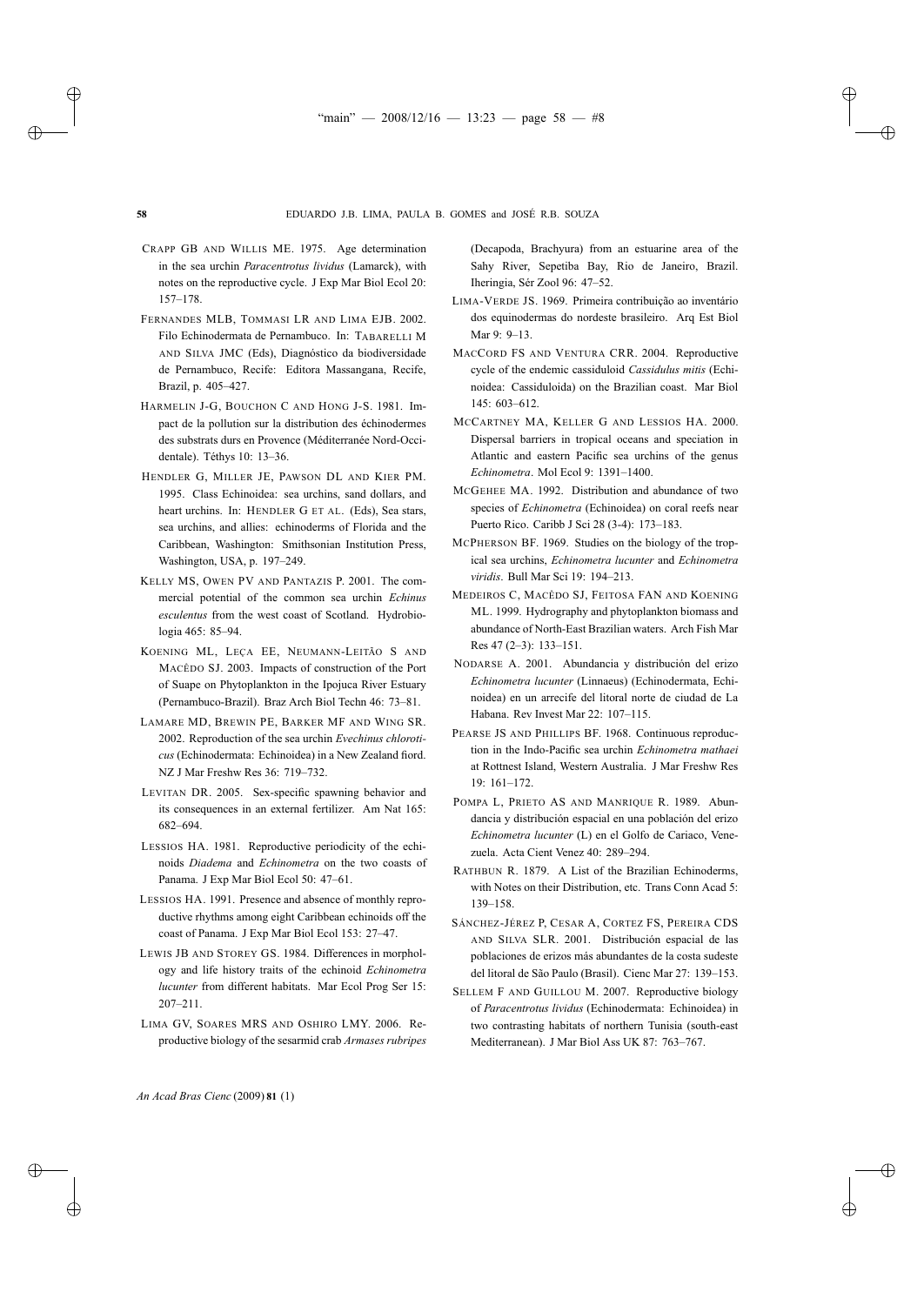- CRAPP GB AND WILLIS ME. 1975. Age determination in the sea urchin *Paracentrotus lividus* (Lamarck), with notes on the reproductive cycle. J Exp Mar Biol Ecol 20: 157–178.
- FERNANDES MLB, TOMMASI LR AND LIMA EJB. 2002. Filo Echinodermata de Pernambuco. In: TABARELLI M AND SILVA JMC (Eds), Diagnóstico da biodiversidade de Pernambuco, Recife: Editora Massangana, Recife, Brazil, p. 405–427.
- HARMELIN J-G, BOUCHON C AND HONG J-S. 1981. Impact de la pollution sur la distribution des échinodermes des substrats durs en Provence (Méditerranée Nord-Occidentale). Téthys 10: 13–36.
- HENDLER G, MILLER JE, PAWSON DL AND KIER PM. 1995. Class Echinoidea: sea urchins, sand dollars, and heart urchins. In: HENDLER G ET AL. (Eds), Sea stars, sea urchins, and allies: echinoderms of Florida and the Caribbean, Washington: Smithsonian Institution Press, Washington, USA, p. 197–249.
- KELLY MS, OWEN PV AND PANTAZIS P. 2001. The commercial potential of the common sea urchin *Echinus esculentus* from the west coast of Scotland. Hydrobiologia 465: 85–94.
- KOENING ML, LEÇA EE, NEUMANN-LEITÃO S AND MACÊDO SJ. 2003. Impacts of construction of the Port of Suape on Phytoplankton in the Ipojuca River Estuary (Pernambuco-Brazil). Braz Arch Biol Techn 46: 73–81.
- LAMARE MD, BREWIN PE, BARKER MF AND WING SR. 2002. Reproduction of the sea urchin *Evechinus chloroticus* (Echinodermata: Echinoidea) in a New Zealand fiord. NZ J Mar Freshw Res 36: 719–732.
- LEVITAN DR. 2005. Sex-specific spawning behavior and its consequences in an external fertilizer. Am Nat 165: 682–694.
- LESSIOS HA. 1981. Reproductive periodicity of the echinoids *Diadema* and *Echinometra* on the two coasts of Panama. J Exp Mar Biol Ecol 50: 47–61.
- LESSIOS HA. 1991. Presence and absence of monthly reproductive rhythms among eight Caribbean echinoids off the coast of Panama. J Exp Mar Biol Ecol 153: 27–47.
- LEWIS JB AND STOREY GS. 1984. Differences in morphology and life history traits of the echinoid *Echinometra lucunter* from different habitats. Mar Ecol Prog Ser 15: 207–211.
- LIMA GV, SOARES MRS AND OSHIRO LMY. 2006. Reproductive biology of the sesarmid crab *Armases rubripes*

(Decapoda, Brachyura) from an estuarine area of the Sahy River, Sepetiba Bay, Rio de Janeiro, Brazil. Iheringia, Sér Zool 96: 47–52.

- LIMA-VERDE JS. 1969. Primeira contribuição ao inventário dos equinodermas do nordeste brasileiro. Arq Est Biol Mar 9: 9–13.
- MACCORD FS AND VENTURA CRR. 2004. Reproductive cycle of the endemic cassiduloid *Cassidulus mitis* (Echinoidea: Cassiduloida) on the Brazilian coast. Mar Biol 145: 603–612.
- MCCARTNEY MA, KELLER G AND LESSIOS HA. 2000. Dispersal barriers in tropical oceans and speciation in Atlantic and eastern Pacific sea urchins of the genus *Echinometra*. Mol Ecol 9: 1391–1400.
- MCGEHEE MA. 1992. Distribution and abundance of two species of *Echinometra* (Echinoidea) on coral reefs near Puerto Rico. Caribb J Sci 28 (3-4): 173–183.
- MCPHERSON BF. 1969. Studies on the biology of the tropical sea urchins, *Echinometra lucunter* and *Echinometra viridis*. Bull Mar Sci 19: 194–213.
- MEDEIROS C, MACÊDO SJ, FEITOSA FAN AND KOENING ML. 1999. Hydrography and phytoplankton biomass and abundance of North-East Brazilian waters. Arch Fish Mar Res 47 (2–3): 133–151.
- NODARSE A. 2001. Abundancia y distribución del erizo *Echinometra lucunter* (Linnaeus) (Echinodermata, Echinoidea) en un arrecife del litoral norte de ciudad de La Habana. Rev Invest Mar 22: 107–115.
- PEARSE JS AND PHILLIPS BF. 1968. Continuous reproduction in the Indo-Pacific sea urchin *Echinometra mathaei* at Rottnest Island, Western Australia. J Mar Freshw Res 19: 161–172.
- POMPA L, PRIETO AS AND MANRIQUE R. 1989. Abundancia y distribución espacial en una población del erizo *Echinometra lucunter* (L) en el Golfo de Cariaco, Venezuela. Acta Cient Venez 40: 289–294.
- RATHBUN R. 1879. A List of the Brazilian Echinoderms, with Notes on their Distribution, etc. Trans Conn Acad 5: 139–158.
- SÁNCHEZ-JÉREZ P, CESAR A, CORTEZ FS, PEREIRA CDS AND SILVA SLR. 2001. Distribución espacial de las poblaciones de erizos más abundantes de la costa sudeste del litoral de São Paulo (Brasil). Cienc Mar 27: 139–153.
- SELLEM F AND GUILLOU M. 2007. Reproductive biology of *Paracentrotus lividus* (Echinodermata: Echinoidea) in two contrasting habitats of northern Tunisia (south-east Mediterranean). J Mar Biol Ass UK 87: 763–767.